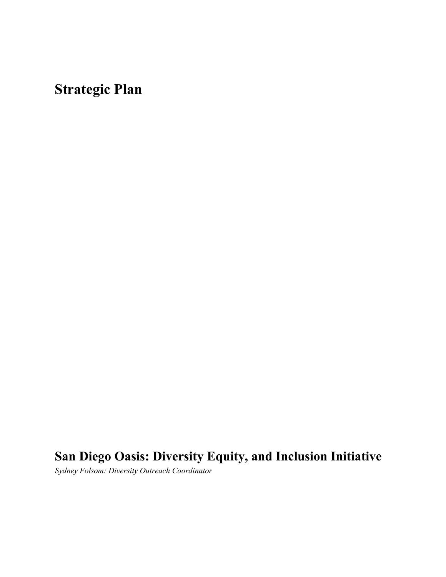**Strategic Plan**

# **San Diego Oasis: Diversity Equity, and Inclusion Initiative**

*Sydney Folsom: Diversity Outreach Coordinator*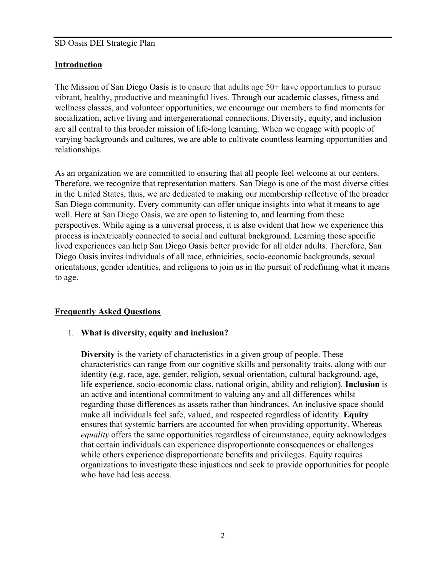#### **Introduction**

The Mission of San Diego Oasis is to ensure that adults age 50+ have opportunities to pursue vibrant, healthy, productive and meaningful lives. Through our academic classes, fitness and wellness classes, and volunteer opportunities, we encourage our members to find moments for socialization, active living and intergenerational connections. Diversity, equity, and inclusion are all central to this broader mission of life-long learning. When we engage with people of varying backgrounds and cultures, we are able to cultivate countless learning opportunities and relationships.

As an organization we are committed to ensuring that all people feel welcome at our centers. Therefore, we recognize that representation matters. San Diego is one of the most diverse cities in the United States, thus, we are dedicated to making our membership reflective of the broader San Diego community. Every community can offer unique insights into what it means to age well. Here at San Diego Oasis, we are open to listening to, and learning from these perspectives. While aging is a universal process, it is also evident that how we experience this process is inextricably connected to social and cultural background. Learning those specific lived experiences can help San Diego Oasis better provide for all older adults. Therefore, San Diego Oasis invites individuals of all race, ethnicities, socio-economic backgrounds, sexual orientations, gender identities, and religions to join us in the pursuit of redefining what it means to age.

#### **Frequently Asked Questions**

#### 1. **What is diversity, equity and inclusion?**

**Diversity** is the variety of characteristics in a given group of people. These characteristics can range from our cognitive skills and personality traits, along with our identity (e.g. race, age, gender, religion, sexual orientation, cultural background, age, life experience, socio-economic class, national origin, ability and religion). **Inclusion** is an active and intentional commitment to valuing any and all differences whilst regarding those differences as assets rather than hindrances. An inclusive space should make all individuals feel safe, valued, and respected regardless of identity. **Equity** ensures that systemic barriers are accounted for when providing opportunity. Whereas *equality* offers the same opportunities regardless of circumstance, equity acknowledges that certain individuals can experience disproportionate consequences or challenges while others experience disproportionate benefits and privileges. Equity requires organizations to investigate these injustices and seek to provide opportunities for people who have had less access.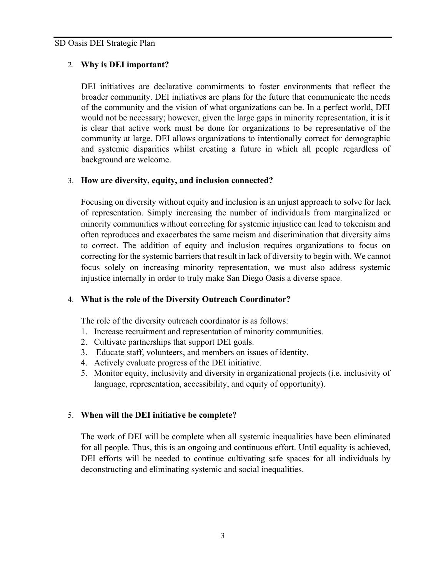#### 2. **Why is DEI important?**

DEI initiatives are declarative commitments to foster environments that reflect the broader community. DEI initiatives are plans for the future that communicate the needs of the community and the vision of what organizations can be. In a perfect world, DEI would not be necessary; however, given the large gaps in minority representation, it is it is clear that active work must be done for organizations to be representative of the community at large. DEI allows organizations to intentionally correct for demographic and systemic disparities whilst creating a future in which all people regardless of background are welcome.

#### 3. **How are diversity, equity, and inclusion connected?**

Focusing on diversity without equity and inclusion is an unjust approach to solve for lack of representation. Simply increasing the number of individuals from marginalized or minority communities without correcting for systemic injustice can lead to tokenism and often reproduces and exacerbates the same racism and discrimination that diversity aims to correct. The addition of equity and inclusion requires organizations to focus on correcting for the systemic barriers that result in lack of diversity to begin with. We cannot focus solely on increasing minority representation, we must also address systemic injustice internally in order to truly make San Diego Oasis a diverse space.

#### 4. **What is the role of the Diversity Outreach Coordinator?**

The role of the diversity outreach coordinator is as follows:

- 1. Increase recruitment and representation of minority communities.
- 2. Cultivate partnerships that support DEI goals.
- 3. Educate staff, volunteers, and members on issues of identity.
- 4. Actively evaluate progress of the DEI initiative.
- 5. Monitor equity, inclusivity and diversity in organizational projects (i.e. inclusivity of language, representation, accessibility, and equity of opportunity).

#### 5. **When will the DEI initiative be complete?**

The work of DEI will be complete when all systemic inequalities have been eliminated for all people. Thus, this is an ongoing and continuous effort. Until equality is achieved, DEI efforts will be needed to continue cultivating safe spaces for all individuals by deconstructing and eliminating systemic and social inequalities.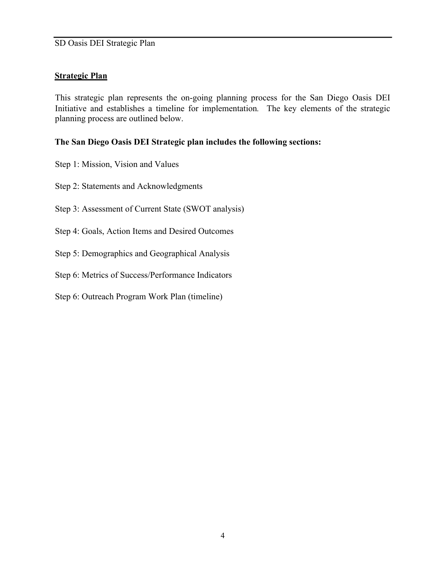#### **Strategic Plan**

This strategic plan represents the on-going planning process for the San Diego Oasis DEI Initiative and establishes a timeline for implementation*.* The key elements of the strategic planning process are outlined below.

#### **The San Diego Oasis DEI Strategic plan includes the following sections:**

- Step 1: Mission, Vision and Values
- Step 2: Statements and Acknowledgments
- Step 3: Assessment of Current State (SWOT analysis)
- Step 4: Goals, Action Items and Desired Outcomes
- Step 5: Demographics and Geographical Analysis
- Step 6: Metrics of Success/Performance Indicators
- Step 6: Outreach Program Work Plan (timeline)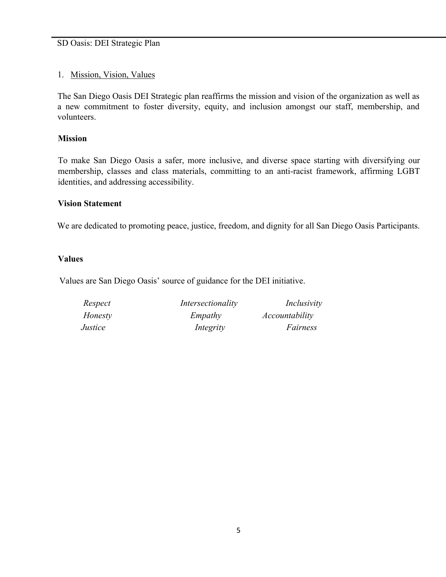#### 1. Mission, Vision, Values

The San Diego Oasis DEI Strategic plan reaffirms the mission and vision of the organization as well as a new commitment to foster diversity, equity, and inclusion amongst our staff, membership, and volunteers.

#### **Mission**

To make San Diego Oasis a safer, more inclusive, and diverse space starting with diversifying our membership, classes and class materials, committing to an anti-racist framework, affirming LGBT identities, and addressing accessibility.

#### **Vision Statement**

We are dedicated to promoting peace, justice, freedom, and dignity for all San Diego Oasis Participants.

#### **Values**

Values are San Diego Oasis' source of guidance for the DEI initiative.

| Respect | Intersectionality | Inclusivity    |
|---------|-------------------|----------------|
| Honesty | Empathy           | Accountability |
| Justice | Integrity         | Fairness       |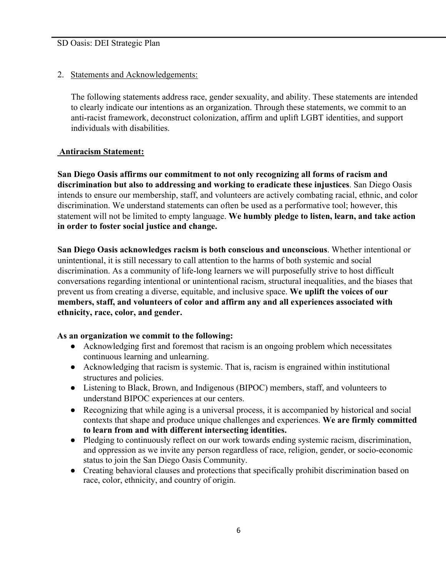2. Statements and Acknowledgements:

The following statements address race, gender sexuality, and ability. These statements are intended to clearly indicate our intentions as an organization. Through these statements, we commit to an anti-racist framework, deconstruct colonization, affirm and uplift LGBT identities, and support individuals with disabilities.

#### **Antiracism Statement:**

**San Diego Oasis affirms our commitment to not only recognizing all forms of racism and discrimination but also to addressing and working to eradicate these injustices**. San Diego Oasis intends to ensure our membership, staff, and volunteers are actively combating racial, ethnic, and color discrimination. We understand statements can often be used as a performative tool; however, this statement will not be limited to empty language. **We humbly pledge to listen, learn, and take action in order to foster social justice and change.**

**San Diego Oasis acknowledges racism is both conscious and unconscious**. Whether intentional or unintentional, it is still necessary to call attention to the harms of both systemic and social discrimination. As a community of life-long learners we will purposefully strive to host difficult conversations regarding intentional or unintentional racism, structural inequalities, and the biases that prevent us from creating a diverse, equitable, and inclusive space. **We uplift the voices of our members, staff, and volunteers of color and affirm any and all experiences associated with ethnicity, race, color, and gender.**

#### **As an organization we commit to the following:**

- Acknowledging first and foremost that racism is an ongoing problem which necessitates continuous learning and unlearning.
- Acknowledging that racism is systemic. That is, racism is engrained within institutional structures and policies.
- Listening to Black, Brown, and Indigenous (BIPOC) members, staff, and volunteers to understand BIPOC experiences at our centers.
- Recognizing that while aging is a universal process, it is accompanied by historical and social contexts that shape and produce unique challenges and experiences. **We are firmly committed to learn from and with different intersecting identities.**
- Pledging to continuously reflect on our work towards ending systemic racism, discrimination, and oppression as we invite any person regardless of race, religion, gender, or socio-economic status to join the San Diego Oasis Community.
- Creating behavioral clauses and protections that specifically prohibit discrimination based on race, color, ethnicity, and country of origin.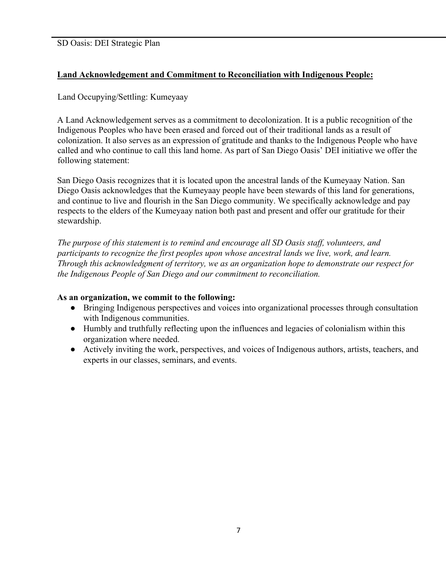#### **Land Acknowledgement and Commitment to Reconciliation with Indigenous People:**

#### Land Occupying/Settling: Kumeyaay

A Land Acknowledgement serves as a commitment to decolonization. It is a public recognition of the Indigenous Peoples who have been erased and forced out of their traditional lands as a result of colonization. It also serves as an expression of gratitude and thanks to the Indigenous People who have called and who continue to call this land home. As part of San Diego Oasis' DEI initiative we offer the following statement:

San Diego Oasis recognizes that it is located upon the ancestral lands of the Kumeyaay Nation. San Diego Oasis acknowledges that the Kumeyaay people have been stewards of this land for generations, and continue to live and flourish in the San Diego community. We specifically acknowledge and pay respects to the elders of the Kumeyaay nation both past and present and offer our gratitude for their stewardship.

*The purpose of this statement is to remind and encourage all SD Oasis staff, volunteers, and participants to recognize the first peoples upon whose ancestral lands we live, work, and learn. Through this acknowledgment of territory, we as an organization hope to demonstrate our respect for the Indigenous People of San Diego and our commitment to reconciliation.* 

#### **As an organization, we commit to the following:**

- Bringing Indigenous perspectives and voices into organizational processes through consultation with Indigenous communities.
- Humbly and truthfully reflecting upon the influences and legacies of colonialism within this organization where needed.
- Actively inviting the work, perspectives, and voices of Indigenous authors, artists, teachers, and experts in our classes, seminars, and events.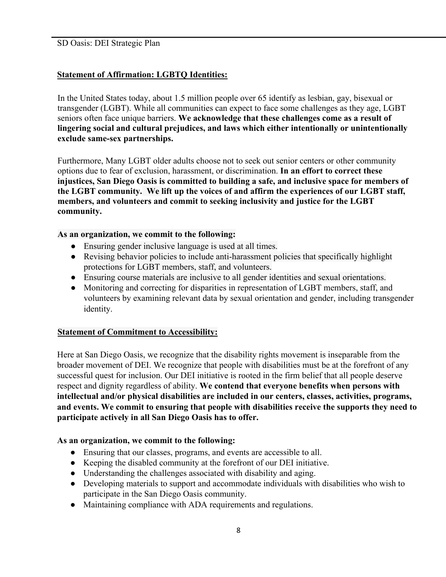#### **Statement of Affirmation: LGBTQ Identities:**

In the United States today, about 1.5 million people over 65 identify as lesbian, gay, bisexual or transgender (LGBT). While all communities can expect to face some challenges as they age, LGBT seniors often face unique barriers. **We acknowledge that these challenges come as a result of lingering social and cultural prejudices, and laws which either intentionally or unintentionally exclude same-sex partnerships.**

Furthermore, Many LGBT older adults choose not to seek out senior centers or other community options due to fear of exclusion, harassment, or discrimination. **In an effort to correct these injustices, San Diego Oasis is committed to building a safe, and inclusive space for members of the LGBT community. We lift up the voices of and affirm the experiences of our LGBT staff, members, and volunteers and commit to seeking inclusivity and justice for the LGBT community.**

#### **As an organization, we commit to the following:**

- Ensuring gender inclusive language is used at all times.
- Revising behavior policies to include anti-harassment policies that specifically highlight protections for LGBT members, staff, and volunteers.
- Ensuring course materials are inclusive to all gender identities and sexual orientations.
- Monitoring and correcting for disparities in representation of LGBT members, staff, and volunteers by examining relevant data by sexual orientation and gender, including transgender identity.

#### **Statement of Commitment to Accessibility:**

Here at San Diego Oasis, we recognize that the disability rights movement is inseparable from the broader movement of DEI. We recognize that people with disabilities must be at the forefront of any successful quest for inclusion. Our DEI initiative is rooted in the firm belief that all people deserve respect and dignity regardless of ability. **We contend that everyone benefits when persons with intellectual and/or physical disabilities are included in our centers, classes, activities, programs, and events. We commit to ensuring that people with disabilities receive the supports they need to participate actively in all San Diego Oasis has to offer.** 

#### **As an organization, we commit to the following:**

- Ensuring that our classes, programs, and events are accessible to all.
- Keeping the disabled community at the forefront of our DEI initiative.
- Understanding the challenges associated with disability and aging.
- Developing materials to support and accommodate individuals with disabilities who wish to participate in the San Diego Oasis community.
- Maintaining compliance with ADA requirements and regulations.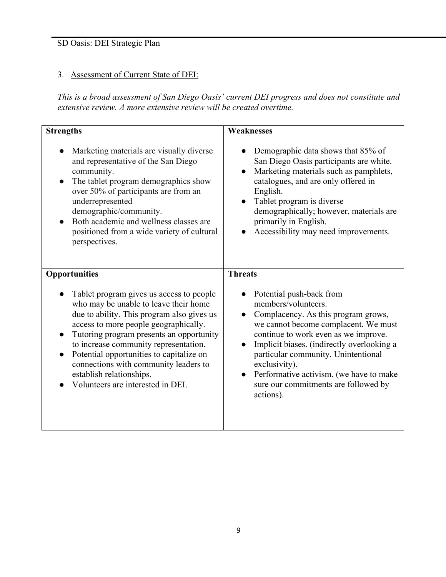## 3. Assessment of Current State of DEI:

*This is a broad assessment of San Diego Oasis' current DEI progress and does not constitute and extensive review. A more extensive review will be created overtime.*

| <b>Strengths</b>                                                                                                                                                                                                                                                                                                                                                                                                    | <b>Weaknesses</b>                                                                                                                                                                                                                                                                                                                                                            |
|---------------------------------------------------------------------------------------------------------------------------------------------------------------------------------------------------------------------------------------------------------------------------------------------------------------------------------------------------------------------------------------------------------------------|------------------------------------------------------------------------------------------------------------------------------------------------------------------------------------------------------------------------------------------------------------------------------------------------------------------------------------------------------------------------------|
| Marketing materials are visually diverse<br>and representative of the San Diego<br>community.<br>The tablet program demographics show<br>over 50% of participants are from an<br>underrepresented<br>demographic/community.<br>Both academic and wellness classes are<br>positioned from a wide variety of cultural<br>perspectives.                                                                                | Demographic data shows that 85% of<br>San Diego Oasis participants are white.<br>Marketing materials such as pamphlets,<br>catalogues, and are only offered in<br>English.<br>Tablet program is diverse<br>demographically; however, materials are<br>primarily in English.<br>Accessibility may need improvements.                                                          |
| <b>Opportunities</b>                                                                                                                                                                                                                                                                                                                                                                                                | <b>Threats</b>                                                                                                                                                                                                                                                                                                                                                               |
| Tablet program gives us access to people<br>who may be unable to leave their home<br>due to ability. This program also gives us<br>access to more people geographically.<br>Tutoring program presents an opportunity<br>to increase community representation.<br>Potential opportunities to capitalize on<br>connections with community leaders to<br>establish relationships.<br>Volunteers are interested in DEI. | Potential push-back from<br>members/volunteers.<br>Complacency. As this program grows,<br>we cannot become complacent. We must<br>continue to work even as we improve.<br>Implicit biases. (indirectly overlooking a<br>particular community. Unintentional<br>exclusivity).<br>Performative activism. (we have to make<br>sure our commitments are followed by<br>actions). |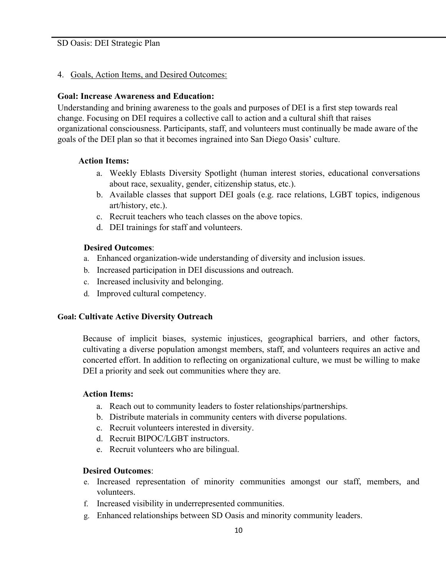#### 4. Goals, Action Items, and Desired Outcomes:

#### **Goal: Increase Awareness and Education:**

Understanding and brining awareness to the goals and purposes of DEI is a first step towards real change. Focusing on DEI requires a collective call to action and a cultural shift that raises organizational consciousness. Participants, staff, and volunteers must continually be made aware of the goals of the DEI plan so that it becomes ingrained into San Diego Oasis' culture.

#### **Action Items:**

- a. Weekly Eblasts Diversity Spotlight (human interest stories, educational conversations about race, sexuality, gender, citizenship status, etc.).
- b. Available classes that support DEI goals (e.g. race relations, LGBT topics, indigenous art/history, etc.).
- c. Recruit teachers who teach classes on the above topics.
- d. DEI trainings for staff and volunteers.

#### **Desired Outcomes**:

- a. Enhanced organization-wide understanding of diversity and inclusion issues.
- b. Increased participation in DEI discussions and outreach.
- c. Increased inclusivity and belonging.
- d. Improved cultural competency.

#### **Goal: Cultivate Active Diversity Outreach**

Because of implicit biases, systemic injustices, geographical barriers, and other factors, cultivating a diverse population amongst members, staff, and volunteers requires an active and concerted effort. In addition to reflecting on organizational culture, we must be willing to make DEI a priority and seek out communities where they are.

#### **Action Items:**

- a. Reach out to community leaders to foster relationships/partnerships.
- b. Distribute materials in community centers with diverse populations.
- c. Recruit volunteers interested in diversity.
- d. Recruit BIPOC/LGBT instructors.
- e. Recruit volunteers who are bilingual.

#### **Desired Outcomes**:

- e. Increased representation of minority communities amongst our staff, members, and volunteers.
- f. Increased visibility in underrepresented communities.
- g. Enhanced relationships between SD Oasis and minority community leaders.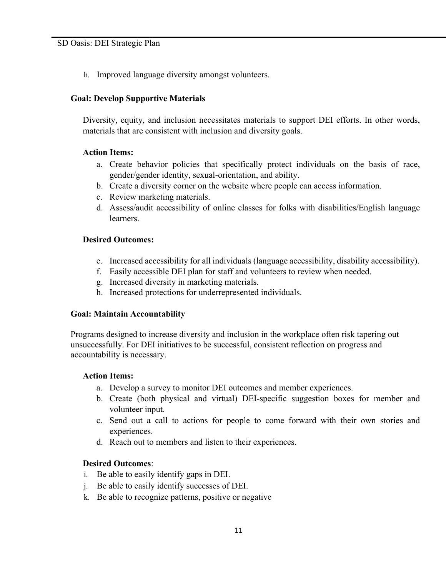h. Improved language diversity amongst volunteers.

#### **Goal: Develop Supportive Materials**

Diversity, equity, and inclusion necessitates materials to support DEI efforts. In other words, materials that are consistent with inclusion and diversity goals.

#### **Action Items:**

- a. Create behavior policies that specifically protect individuals on the basis of race, gender/gender identity, sexual-orientation, and ability.
- b. Create a diversity corner on the website where people can access information.
- c. Review marketing materials.
- d. Assess/audit accessibility of online classes for folks with disabilities/English language learners.

#### **Desired Outcomes:**

- e. Increased accessibility for all individuals (language accessibility, disability accessibility).
- f. Easily accessible DEI plan for staff and volunteers to review when needed.
- g. Increased diversity in marketing materials.
- h. Increased protections for underrepresented individuals.

#### **Goal: Maintain Accountability**

Programs designed to increase diversity and inclusion in the workplace often risk tapering out unsuccessfully. For DEI initiatives to be successful, consistent reflection on progress and accountability is necessary.

#### **Action Items:**

- a. Develop a survey to monitor DEI outcomes and member experiences.
- b. Create (both physical and virtual) DEI-specific suggestion boxes for member and volunteer input.
- c. Send out a call to actions for people to come forward with their own stories and experiences.
- d. Reach out to members and listen to their experiences.

#### **Desired Outcomes**:

- i. Be able to easily identify gaps in DEI.
- j. Be able to easily identify successes of DEI.
- k. Be able to recognize patterns, positive or negative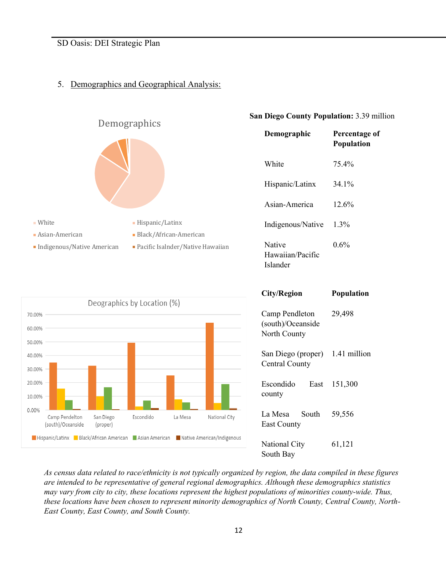#### 5. Demographics and Geographical Analysis:



(south)/Oceanside

(proper)

Hispanic/Latinx Black/African American BAsian American BNative American/Indigenous

#### **San Diego County Population:** 3.39 million

| Demographic                                         | Percentage of<br>Population |
|-----------------------------------------------------|-----------------------------|
| White                                               | 75.4%                       |
| Hispanic/Latinx                                     | 34.1%                       |
| Asian-America                                       | 12.6%                       |
| Indigenous/Native                                   | 1.3%                        |
| Native<br>Hawaiian/Pacific<br>Islander              | 0.6%                        |
| <b>City/Region</b>                                  | <b>Population</b>           |
|                                                     |                             |
| Camp Pendleton<br>(south)/Oceanside<br>North County | 29,498                      |
| San Diego (proper)<br><b>Central County</b>         | 1.41 million                |
| Escondido<br>East<br>county                         | 151,300                     |
| South<br>La Mesa<br><b>East County</b>              | 59,556                      |

*As census data related to race/ethnicity is not typically organized by region, the data compiled in these figures are intended to be representative of general regional demographics. Although these demographics statistics may vary from city to city, these locations represent the highest populations of minorities county-wide. Thus, these locations have been chosen to represent minority demographics of North County, Central County, North-East County, East County, and South County.*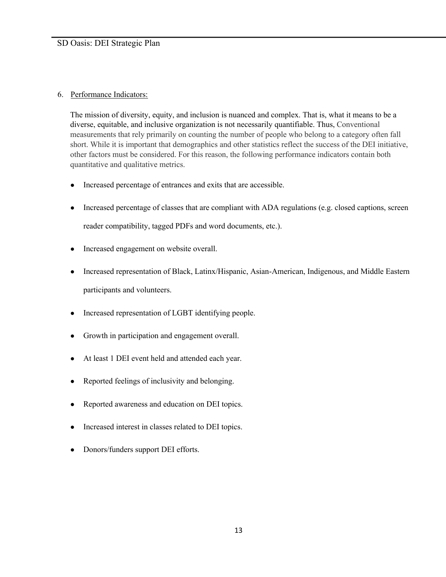#### 6. Performance Indicators:

The mission of diversity, equity, and inclusion is nuanced and complex. That is, what it means to be a diverse, equitable, and inclusive organization is not necessarily quantifiable. Thus, Conventional measurements that rely primarily on counting the number of people who belong to a category often fall short. While it is important that demographics and other statistics reflect the success of the DEI initiative, other factors must be considered. For this reason, the following performance indicators contain both quantitative and qualitative metrics.

- Increased percentage of entrances and exits that are accessible.
- Increased percentage of classes that are compliant with ADA regulations (e.g. closed captions, screen reader compatibility, tagged PDFs and word documents, etc.).
- Increased engagement on website overall.
- Increased representation of Black, Latinx/Hispanic, Asian-American, Indigenous, and Middle Eastern participants and volunteers.
- Increased representation of LGBT identifying people.
- Growth in participation and engagement overall.
- At least 1 DEI event held and attended each year.
- Reported feelings of inclusivity and belonging.
- Reported awareness and education on DEI topics.
- Increased interest in classes related to DEI topics.
- Donors/funders support DEI efforts.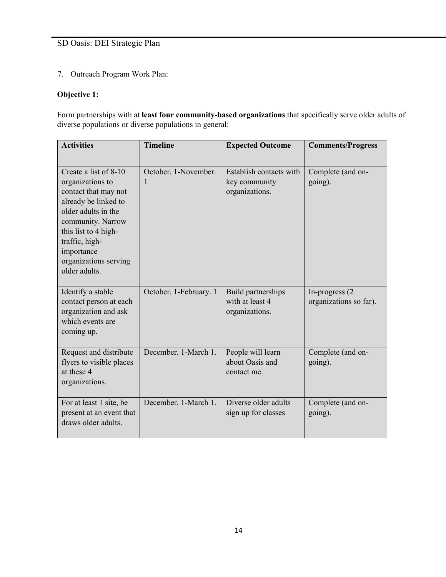#### 7. Outreach Program Work Plan:

#### **Objective 1:**

Form partnerships with at **least four community-based organizations** that specifically serve older adults of diverse populations or diverse populations in general:

| <b>Activities</b>                                                                                                                                                                                                                       | <b>Timeline</b>           | <b>Expected Outcome</b>                                    | <b>Comments/Progress</b>                  |
|-----------------------------------------------------------------------------------------------------------------------------------------------------------------------------------------------------------------------------------------|---------------------------|------------------------------------------------------------|-------------------------------------------|
| Create a list of 8-10<br>organizations to<br>contact that may not<br>already be linked to<br>older adults in the<br>community. Narrow<br>this list to 4 high-<br>traffic, high-<br>importance<br>organizations serving<br>older adults. | October, 1-November.<br>1 | Establish contacts with<br>key community<br>organizations. | Complete (and on-<br>going).              |
| Identify a stable<br>contact person at each<br>organization and ask<br>which events are<br>coming up.                                                                                                                                   | October. 1-February. 1    | Build partnerships<br>with at least 4<br>organizations.    | In-progress (2)<br>organizations so far). |
| Request and distribute<br>flyers to visible places<br>at these 4<br>organizations.                                                                                                                                                      | December. 1-March 1.      | People will learn<br>about Oasis and<br>contact me.        | Complete (and on-<br>going).              |
| For at least 1 site, be<br>present at an event that<br>draws older adults.                                                                                                                                                              | December. 1-March 1.      | Diverse older adults<br>sign up for classes                | Complete (and on-<br>going).              |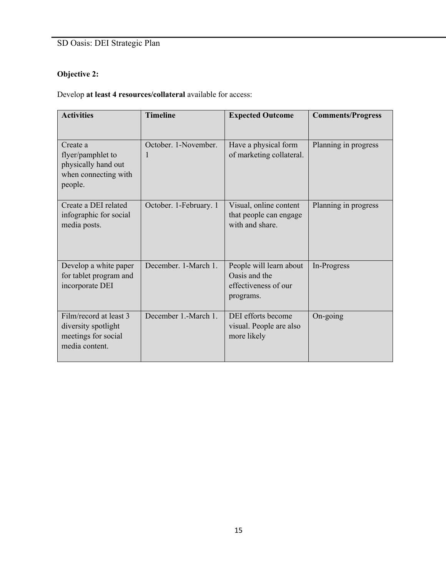# **Objective 2:**

Develop **at least 4 resources/collateral** available for access:

| <b>Activities</b>                                                                       | <b>Timeline</b>           | <b>Expected Outcome</b>                                                       | <b>Comments/Progress</b> |
|-----------------------------------------------------------------------------------------|---------------------------|-------------------------------------------------------------------------------|--------------------------|
| Create a<br>flyer/pamphlet to<br>physically hand out<br>when connecting with<br>people. | October, 1-November.<br>1 | Have a physical form<br>of marketing collateral.                              | Planning in progress     |
| Create a DEI related<br>infographic for social<br>media posts.                          | October. 1-February. 1    | Visual, online content<br>that people can engage<br>with and share.           | Planning in progress     |
| Develop a white paper<br>for tablet program and<br>incorporate DEI                      | December. 1-March 1.      | People will learn about<br>Oasis and the<br>effectiveness of our<br>programs. | In-Progress              |
| Film/record at least 3<br>diversity spotlight<br>meetings for social<br>media content.  | December 1.-March 1.      | DEI efforts become<br>visual. People are also<br>more likely                  | On-going                 |